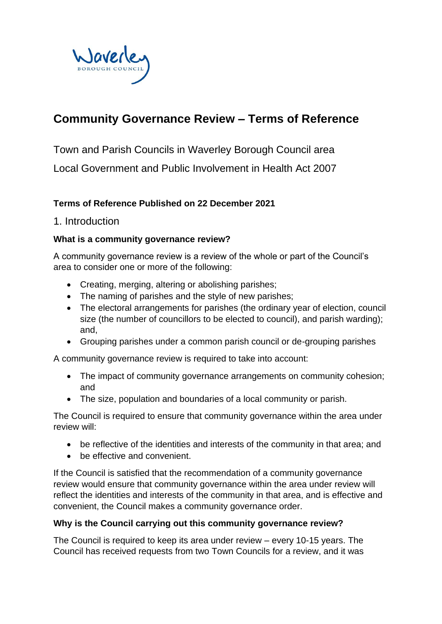

# **Community Governance Review – Terms of Reference**

Town and Parish Councils in Waverley Borough Council area

Local Government and Public Involvement in Health Act 2007

### **Terms of Reference Published on 22 December 2021**

### 1. Introduction

#### **What is a community governance review?**

A community governance review is a review of the whole or part of the Council's area to consider one or more of the following:

- Creating, merging, altering or abolishing parishes;
- The naming of parishes and the style of new parishes;
- The electoral arrangements for parishes (the ordinary year of election, council size (the number of councillors to be elected to council), and parish warding); and,
- Grouping parishes under a common parish council or de-grouping parishes

A community governance review is required to take into account:

- The impact of community governance arrangements on community cohesion; and
- The size, population and boundaries of a local community or parish.

The Council is required to ensure that community governance within the area under review will:

- be reflective of the identities and interests of the community in that area; and
- be effective and convenient.

If the Council is satisfied that the recommendation of a community governance review would ensure that community governance within the area under review will reflect the identities and interests of the community in that area, and is effective and convenient, the Council makes a community governance order.

#### **Why is the Council carrying out this community governance review?**

The Council is required to keep its area under review – every 10-15 years. The Council has received requests from two Town Councils for a review, and it was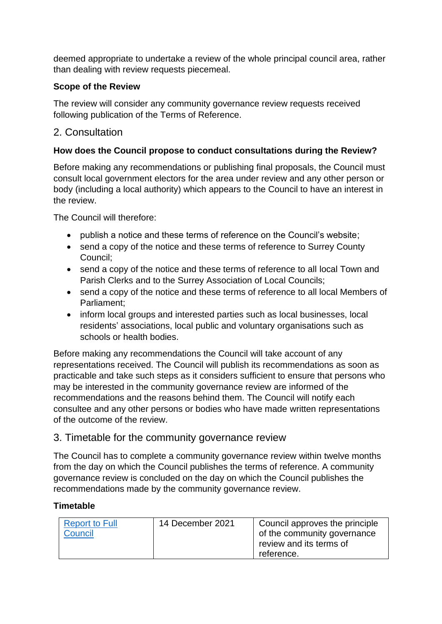deemed appropriate to undertake a review of the whole principal council area, rather than dealing with review requests piecemeal.

### **Scope of the Review**

The review will consider any community governance review requests received following publication of the Terms of Reference.

# 2. Consultation

## **How does the Council propose to conduct consultations during the Review?**

Before making any recommendations or publishing final proposals, the Council must consult local government electors for the area under review and any other person or body (including a local authority) which appears to the Council to have an interest in the review.

The Council will therefore:

- publish a notice and these terms of reference on the Council's website;
- send a copy of the notice and these terms of reference to Surrey County Council;
- send a copy of the notice and these terms of reference to all local Town and Parish Clerks and to the Surrey Association of Local Councils;
- send a copy of the notice and these terms of reference to all local Members of Parliament;
- inform local groups and interested parties such as local businesses, local residents' associations, local public and voluntary organisations such as schools or health bodies.

Before making any recommendations the Council will take account of any representations received. The Council will publish its recommendations as soon as practicable and take such steps as it considers sufficient to ensure that persons who may be interested in the community governance review are informed of the recommendations and the reasons behind them. The Council will notify each consultee and any other persons or bodies who have made written representations of the outcome of the review.

## 3. Timetable for the community governance review

The Council has to complete a community governance review within twelve months from the day on which the Council publishes the terms of reference. A community governance review is concluded on the day on which the Council publishes the recommendations made by the community governance review.

### **Timetable**

| <b>Report to Full</b><br>Council | 14 December 2021 | Council approves the principle<br>of the community governance<br>review and its terms of |
|----------------------------------|------------------|------------------------------------------------------------------------------------------|
|                                  |                  | reference.                                                                               |